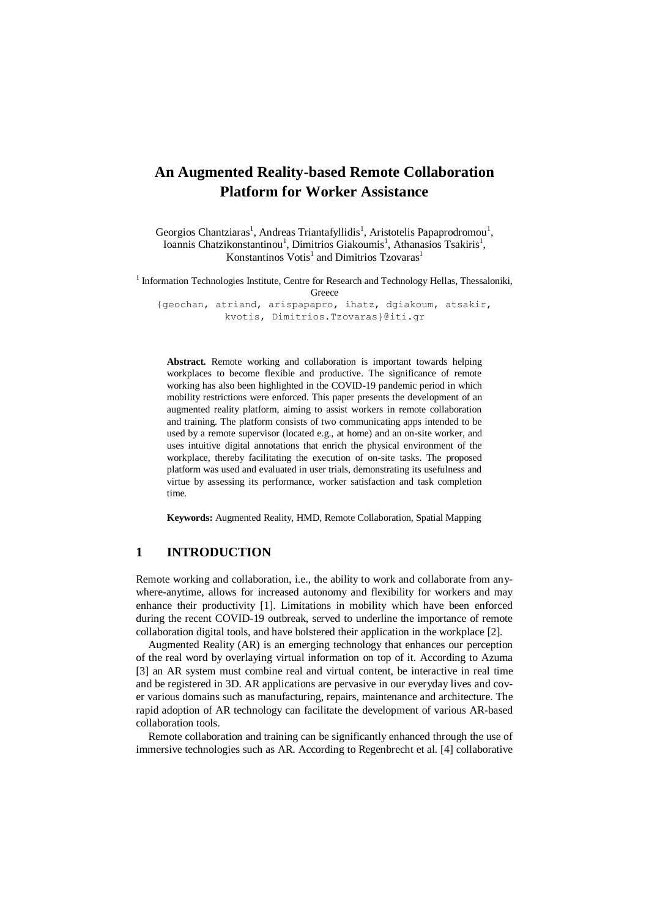# **An Augmented Reality-based Remote Collaboration Platform for Worker Assistance**

Georgios Chantziaras<sup>1</sup>, Andreas Triantafyllidis<sup>1</sup>, Aristotelis Papaprodromou<sup>1</sup>, Ioannis Chatzikonstantinou<sup>1</sup>, Dimitrios Giakoumis<sup>1</sup>, Athanasios Tsakiris<sup>1</sup>, Konstantinos Votis<sup>1</sup> and Dimitrios Tzovaras<sup>1</sup>

<sup>1</sup> Information Technologies Institute, Centre for Research and Technology Hellas, Thessaloniki, **Greece** {geochan, atriand, arispapapro, ihatz, dgiakoum, atsakir,

kvotis, Dimitrios.Tzovaras}@iti.gr

**Abstract.** Remote working and collaboration is important towards helping workplaces to become flexible and productive. The significance of remote working has also been highlighted in the COVID-19 pandemic period in which mobility restrictions were enforced. This paper presents the development of an augmented reality platform, aiming to assist workers in remote collaboration and training. The platform consists of two communicating apps intended to be used by a remote supervisor (located e.g., at home) and an on-site worker, and uses intuitive digital annotations that enrich the physical environment of the workplace, thereby facilitating the execution of on-site tasks. The proposed platform was used and evaluated in user trials, demonstrating its usefulness and virtue by assessing its performance, worker satisfaction and task completion time.

**Keywords:** Augmented Reality, HMD, Remote Collaboration, Spatial Mapping

# **1 INTRODUCTION**

Remote working and collaboration, i.e., the ability to work and collaborate from anywhere-anytime, allows for increased autonomy and flexibility for workers and may enhance their productivity [1]. Limitations in mobility which have been enforced during the recent COVID-19 outbreak, served to underline the importance of remote collaboration digital tools, and have bolstered their application in the workplace [2].

Augmented Reality (AR) is an emerging technology that enhances our perception of the real word by overlaying virtual information on top of it. According to Azuma [3] an AR system must combine real and virtual content, be interactive in real time and be registered in 3D. AR applications are pervasive in our everyday lives and cover various domains such as manufacturing, repairs, maintenance and architecture. The rapid adoption of AR technology can facilitate the development of various AR-based collaboration tools.

Remote collaboration and training can be significantly enhanced through the use of immersive technologies such as AR. According to Regenbrecht et al. [4] collaborative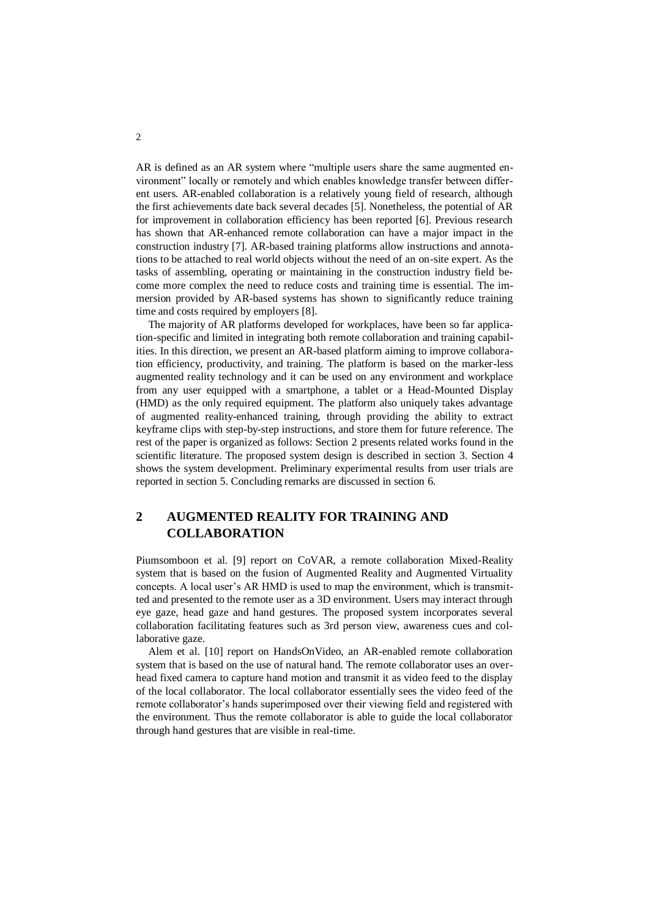AR is defined as an AR system where "multiple users share the same augmented environment" locally or remotely and which enables knowledge transfer between different users. AR-enabled collaboration is a relatively young field of research, although the first achievements date back several decades [5]. Nonetheless, the potential of AR for improvement in collaboration efficiency has been reported [6]. Previous research has shown that AR-enhanced remote collaboration can have a major impact in the construction industry [7]. AR-based training platforms allow instructions and annotations to be attached to real world objects without the need of an on-site expert. As the tasks of assembling, operating or maintaining in the construction industry field become more complex the need to reduce costs and training time is essential. The immersion provided by AR-based systems has shown to significantly reduce training time and costs required by employers [8].

The majority of AR platforms developed for workplaces, have been so far application-specific and limited in integrating both remote collaboration and training capabilities. In this direction, we present an AR-based platform aiming to improve collaboration efficiency, productivity, and training. The platform is based on the marker-less augmented reality technology and it can be used on any environment and workplace from any user equipped with a smartphone, a tablet or a Head-Mounted Display (HMD) as the only required equipment. The platform also uniquely takes advantage of augmented reality-enhanced training, through providing the ability to extract keyframe clips with step-by-step instructions, and store them for future reference. The rest of the paper is organized as follows: Section 2 presents related works found in the scientific literature. The proposed system design is described in section 3. Section 4 shows the system development. Preliminary experimental results from user trials are reported in section 5. Concluding remarks are discussed in section 6.

# **2 AUGMENTED REALITY FOR TRAINING AND COLLABORATION**

Piumsomboon et al. [9] report on CoVAR, a remote collaboration Mixed-Reality system that is based on the fusion of Augmented Reality and Augmented Virtuality concepts. A local user's AR HMD is used to map the environment, which is transmitted and presented to the remote user as a 3D environment. Users may interact through eye gaze, head gaze and hand gestures. The proposed system incorporates several collaboration facilitating features such as 3rd person view, awareness cues and collaborative gaze.

Alem et al. [10] report on HandsOnVideo, an AR-enabled remote collaboration system that is based on the use of natural hand. The remote collaborator uses an overhead fixed camera to capture hand motion and transmit it as video feed to the display of the local collaborator. The local collaborator essentially sees the video feed of the remote collaborator's hands superimposed over their viewing field and registered with the environment. Thus the remote collaborator is able to guide the local collaborator through hand gestures that are visible in real-time.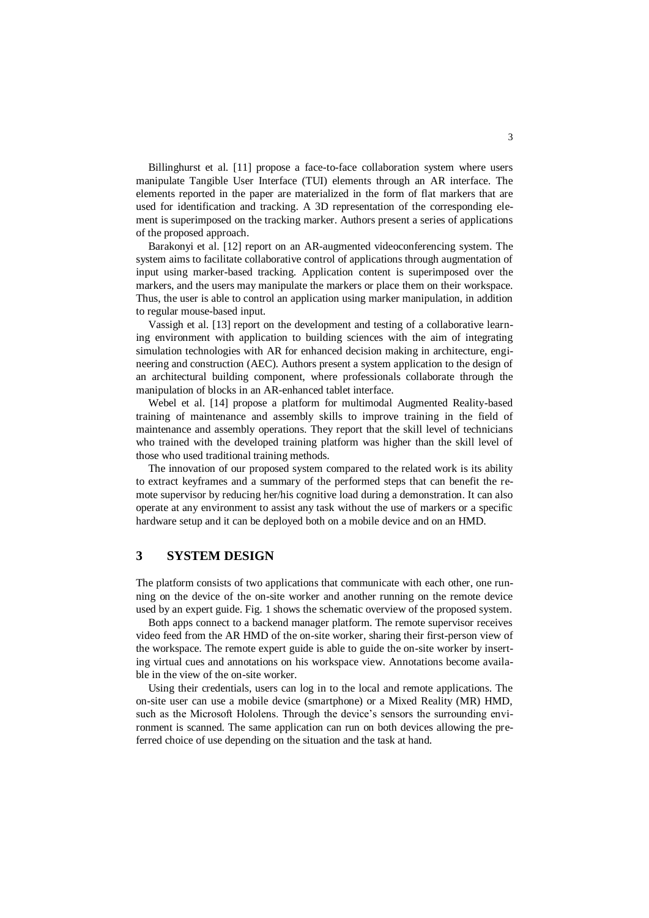Billinghurst et al. [11] propose a face-to-face collaboration system where users manipulate Tangible User Interface (TUI) elements through an AR interface. The elements reported in the paper are materialized in the form of flat markers that are used for identification and tracking. A 3D representation of the corresponding element is superimposed on the tracking marker. Authors present a series of applications of the proposed approach.

Barakonyi et al. [12] report on an AR-augmented videoconferencing system. The system aims to facilitate collaborative control of applications through augmentation of input using marker-based tracking. Application content is superimposed over the markers, and the users may manipulate the markers or place them on their workspace. Thus, the user is able to control an application using marker manipulation, in addition to regular mouse-based input.

Vassigh et al. [13] report on the development and testing of a collaborative learning environment with application to building sciences with the aim of integrating simulation technologies with AR for enhanced decision making in architecture, engineering and construction (AEC). Authors present a system application to the design of an architectural building component, where professionals collaborate through the manipulation of blocks in an AR-enhanced tablet interface.

Webel et al. [14] propose a platform for multimodal Augmented Reality-based training of maintenance and assembly skills to improve training in the field of maintenance and assembly operations. They report that the skill level of technicians who trained with the developed training platform was higher than the skill level of those who used traditional training methods.

The innovation of our proposed system compared to the related work is its ability to extract keyframes and a summary of the performed steps that can benefit the remote supervisor by reducing her/his cognitive load during a demonstration. It can also operate at any environment to assist any task without the use of markers or a specific hardware setup and it can be deployed both on a mobile device and on an HMD.

# **3 SYSTEM DESIGN**

The platform consists of two applications that communicate with each other, one running on the device of the on-site worker and another running on the remote device used by an expert guide. Fig. 1 shows the schematic overview of the proposed system.

Both apps connect to a backend manager platform. The remote supervisor receives video feed from the AR HMD of the on-site worker, sharing their first-person view of the workspace. The remote expert guide is able to guide the on-site worker by inserting virtual cues and annotations on his workspace view. Annotations become available in the view of the on-site worker.

Using their credentials, users can log in to the local and remote applications. The on-site user can use a mobile device (smartphone) or a Mixed Reality (MR) HMD, such as the Microsoft Hololens. Through the device's sensors the surrounding environment is scanned. The same application can run on both devices allowing the preferred choice of use depending on the situation and the task at hand.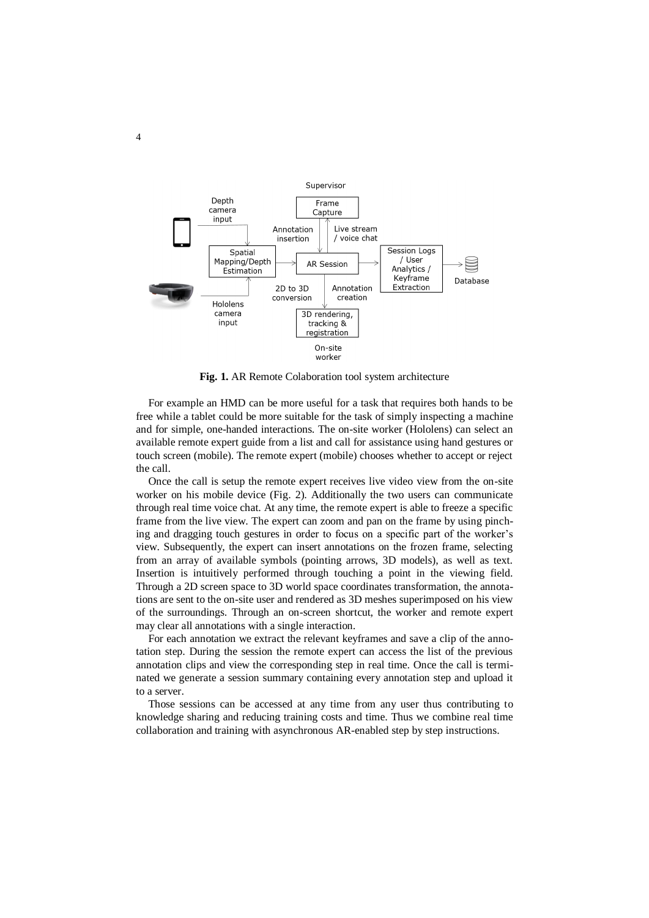

**Fig. 1.** AR Remote Colaboration tool system architecture

For example an HMD can be more useful for a task that requires both hands to be free while a tablet could be more suitable for the task of simply inspecting a machine and for simple, one-handed interactions. The on-site worker (Hololens) can select an available remote expert guide from a list and call for assistance using hand gestures or touch screen (mobile). The remote expert (mobile) chooses whether to accept or reject the call.

Once the call is setup the remote expert receives live video view from the on-site worker on his mobile device (Fig. 2). Additionally the two users can communicate through real time voice chat. At any time, the remote expert is able to freeze a specific frame from the live view. The expert can zoom and pan on the frame by using pinching and dragging touch gestures in order to focus on a specific part of the worker's view. Subsequently, the expert can insert annotations on the frozen frame, selecting from an array of available symbols (pointing arrows, 3D models), as well as text. Insertion is intuitively performed through touching a point in the viewing field. Through a 2D screen space to 3D world space coordinates transformation, the annotations are sent to the on-site user and rendered as 3D meshes superimposed on his view of the surroundings. Through an on-screen shortcut, the worker and remote expert may clear all annotations with a single interaction.

For each annotation we extract the relevant keyframes and save a clip of the annotation step. During the session the remote expert can access the list of the previous annotation clips and view the corresponding step in real time. Once the call is terminated we generate a session summary containing every annotation step and upload it to a server.

Those sessions can be accessed at any time from any user thus contributing to knowledge sharing and reducing training costs and time. Thus we combine real time collaboration and training with asynchronous AR-enabled step by step instructions.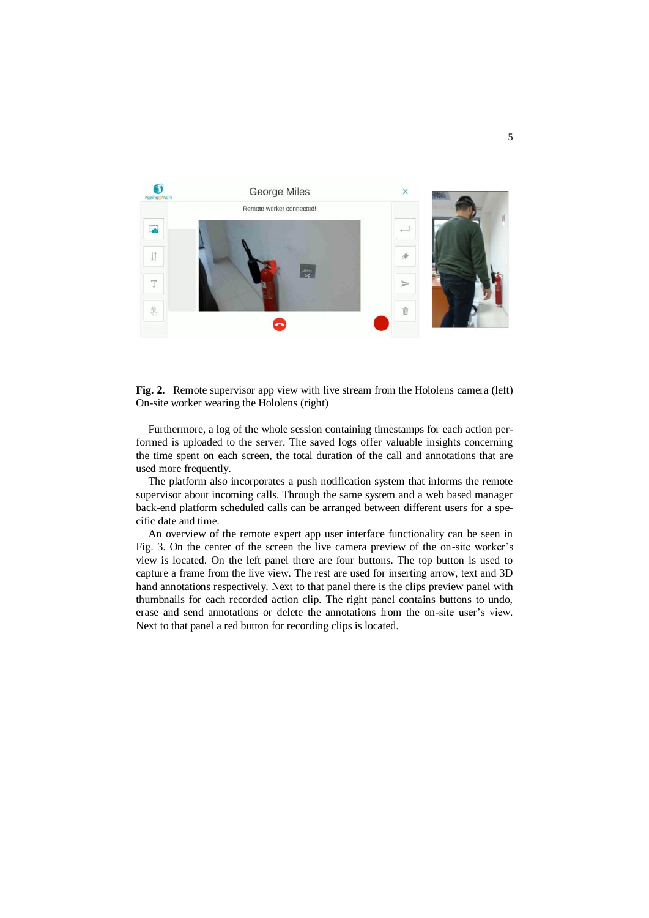

**Fig. 2.** Remote supervisor app view with live stream from the Hololens camera (left) On-site worker wearing the Hololens (right)

Furthermore, a log of the whole session containing timestamps for each action performed is uploaded to the server. The saved logs offer valuable insights concerning the time spent on each screen, the total duration of the call and annotations that are used more frequently.

The platform also incorporates a push notification system that informs the remote supervisor about incoming calls. Through the same system and a web based manager back-end platform scheduled calls can be arranged between different users for a specific date and time.

An overview of the remote expert app user interface functionality can be seen in Fig. 3. On the center of the screen the live camera preview of the on-site worker's view is located. On the left panel there are four buttons. The top button is used to capture a frame from the live view. The rest are used for inserting arrow, text and 3D hand annotations respectively. Next to that panel there is the clips preview panel with thumbnails for each recorded action clip. The right panel contains buttons to undo, erase and send annotations or delete the annotations from the on-site user's view. Next to that panel a red button for recording clips is located.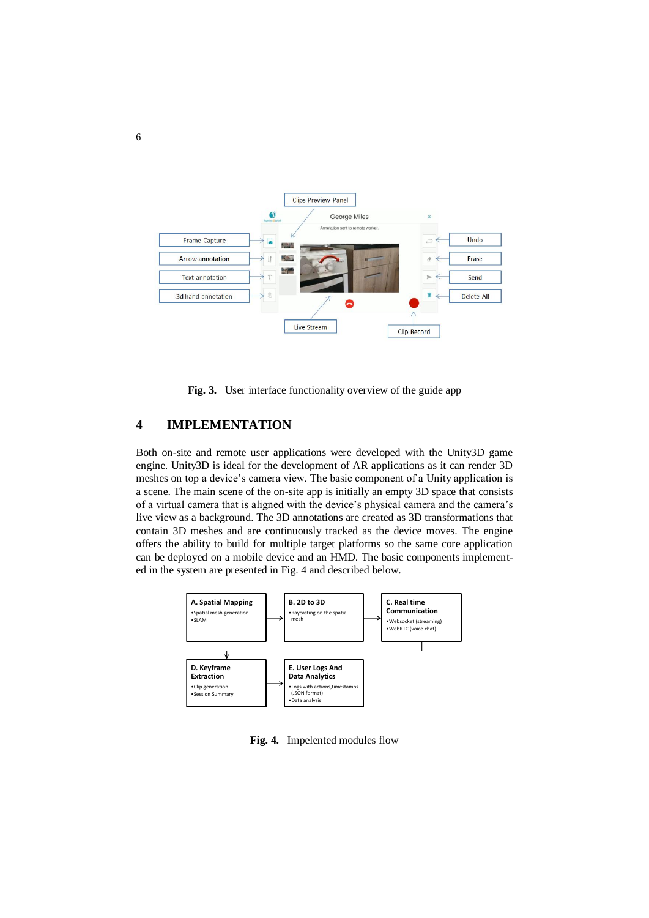

**Fig. 3.** User interface functionality overview of the guide app

# **4 IMPLEMENTATION**

Both on-site and remote user applications were developed with the Unity3D game engine. Unity3D is ideal for the development of AR applications as it can render 3D meshes on top a device's camera view. The basic component of a Unity application is a scene. The main scene of the on-site app is initially an empty 3D space that consists of a virtual camera that is aligned with the device's physical camera and the camera's live view as a background. The 3D annotations are created as 3D transformations that contain 3D meshes and are continuously tracked as the device moves. The engine offers the ability to build for multiple target platforms so the same core application can be deployed on a mobile device and an HMD. The basic components implemented in the system are presented in Fig. 4 and described below.



**Fig. 4.** Impelented modules flow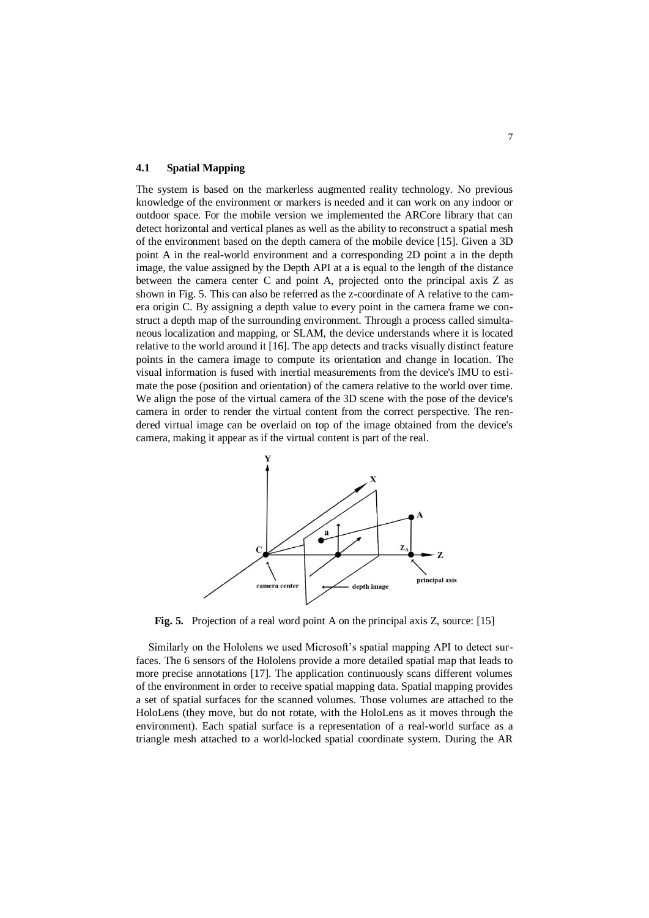### **4.1 Spatial Mapping**

The system is based on the markerless augmented reality technology. No previous knowledge of the environment or markers is needed and it can work on any indoor or outdoor space. For the mobile version we implemented the ARCore library that can detect horizontal and vertical planes as well as the ability to reconstruct a spatial mesh of the environment based on the depth camera of the mobile device [15]. Given a 3D point A in the real-world environment and a corresponding 2D point a in the depth image, the value assigned by the Depth API at a is equal to the length of the distance between the camera center C and point A, projected onto the principal axis Z as shown in Fig. 5. This can also be referred as the z-coordinate of A relative to the camera origin C. By assigning a depth value to every point in the camera frame we construct a depth map of the surrounding environment. Through a process called simultaneous localization and mapping, or SLAM, the device understands where it is located relative to the world around it [16]. The app detects and tracks visually distinct feature points in the camera image to compute its orientation and change in location. The visual information is fused with inertial measurements from the device's IMU to estimate the pose (position and orientation) of the camera relative to the world over time. We align the pose of the virtual camera of the 3D scene with the pose of the device's camera in order to render the virtual content from the correct perspective. The rendered virtual image can be overlaid on top of the image obtained from the device's camera, making it appear as if the virtual content is part of the real.



Fig. 5. Projection of a real word point A on the principal axis Z, source: [15]

Similarly on the Hololens we used Microsoft's spatial mapping API to detect surfaces. The 6 sensors of the Hololens provide a more detailed spatial map that leads to more precise annotations [17]. The application continuously scans different volumes of the environment in order to receive spatial mapping data. Spatial mapping provides a set of spatial surfaces for the scanned volumes. Those volumes are attached to the HoloLens (they move, but do not rotate, with the HoloLens as it moves through the environment). Each spatial surface is a representation of a real-world surface as a triangle mesh attached to a world-locked spatial coordinate system. During the AR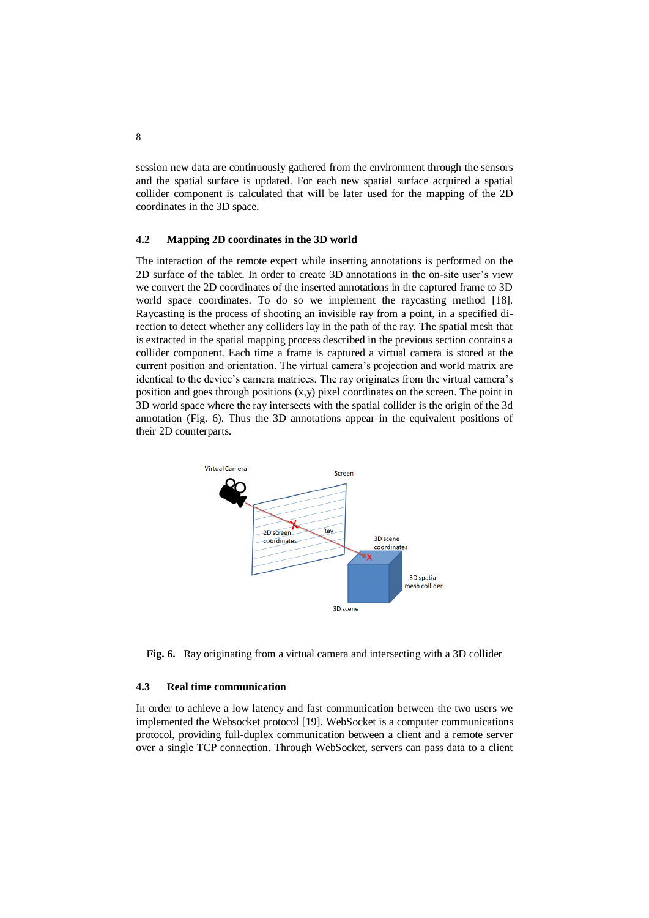session new data are continuously gathered from the environment through the sensors and the spatial surface is updated. For each new spatial surface acquired a spatial collider component is calculated that will be later used for the mapping of the 2D coordinates in the 3D space.

### **4.2 Mapping 2D coordinates in the 3D world**

The interaction of the remote expert while inserting annotations is performed on the 2D surface of the tablet. In order to create 3D annotations in the on-site user's view we convert the 2D coordinates of the inserted annotations in the captured frame to 3D world space coordinates. To do so we implement the raycasting method [18]. Raycasting is the process of shooting an invisible ray from a point, in a specified direction to detect whether any colliders lay in the path of the ray. The spatial mesh that is extracted in the spatial mapping process described in the previous section contains a collider component. Each time a frame is captured a virtual camera is stored at the current position and orientation. The virtual camera's projection and world matrix are identical to the device's camera matrices. The ray originates from the virtual camera's position and goes through positions (x,y) pixel coordinates on the screen. The point in 3D world space where the ray intersects with the spatial collider is the origin of the 3d annotation (Fig. 6). Thus the 3D annotations appear in the equivalent positions of their 2D counterparts.



**Fig. 6.** Ray originating from a virtual camera and intersecting with a 3D collider

### **4.3 Real time communication**

In order to achieve a low latency and fast communication between the two users we implemented the Websocket protocol [19]. WebSocket is a computer communications protocol, providing full-duplex communication between a client and a remote server over a single TCP connection. Through WebSocket, servers can pass data to a client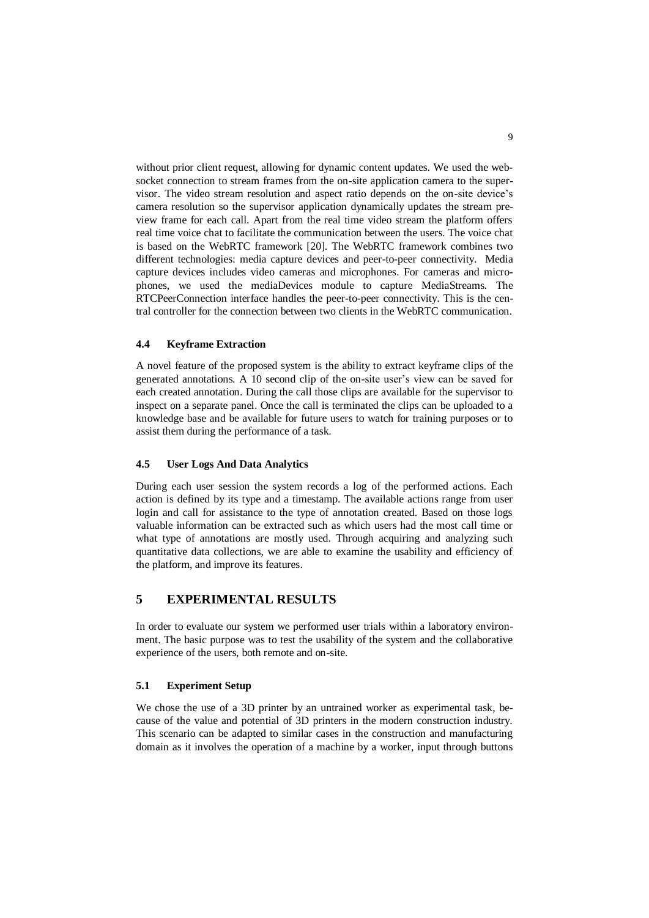without prior client request, allowing for dynamic content updates. We used the websocket connection to stream frames from the on-site application camera to the supervisor. The video stream resolution and aspect ratio depends on the on-site device's camera resolution so the supervisor application dynamically updates the stream preview frame for each call. Apart from the real time video stream the platform offers real time voice chat to facilitate the communication between the users. The voice chat is based on the WebRTC framework [20]. The WebRTC framework combines two different technologies: media capture devices and peer-to-peer connectivity. Media capture devices includes video cameras and microphones. For cameras and microphones, we used the mediaDevices module to capture MediaStreams. The RTCPeerConnection interface handles the peer-to-peer connectivity. This is the central controller for the connection between two clients in the WebRTC communication.

### **4.4 Keyframe Extraction**

A novel feature of the proposed system is the ability to extract keyframe clips of the generated annotations. A 10 second clip of the on-site user's view can be saved for each created annotation. During the call those clips are available for the supervisor to inspect on a separate panel. Once the call is terminated the clips can be uploaded to a knowledge base and be available for future users to watch for training purposes or to assist them during the performance of a task.

#### **4.5 User Logs And Data Analytics**

During each user session the system records a log of the performed actions. Each action is defined by its type and a timestamp. The available actions range from user login and call for assistance to the type of annotation created. Based on those logs valuable information can be extracted such as which users had the most call time or what type of annotations are mostly used. Through acquiring and analyzing such quantitative data collections, we are able to examine the usability and efficiency of the platform, and improve its features.

# **5 EXPERIMENTAL RESULTS**

In order to evaluate our system we performed user trials within a laboratory environment. The basic purpose was to test the usability of the system and the collaborative experience of the users, both remote and on-site.

# **5.1 Experiment Setup**

We chose the use of a 3D printer by an untrained worker as experimental task, because of the value and potential of 3D printers in the modern construction industry. This scenario can be adapted to similar cases in the construction and manufacturing domain as it involves the operation of a machine by a worker, input through buttons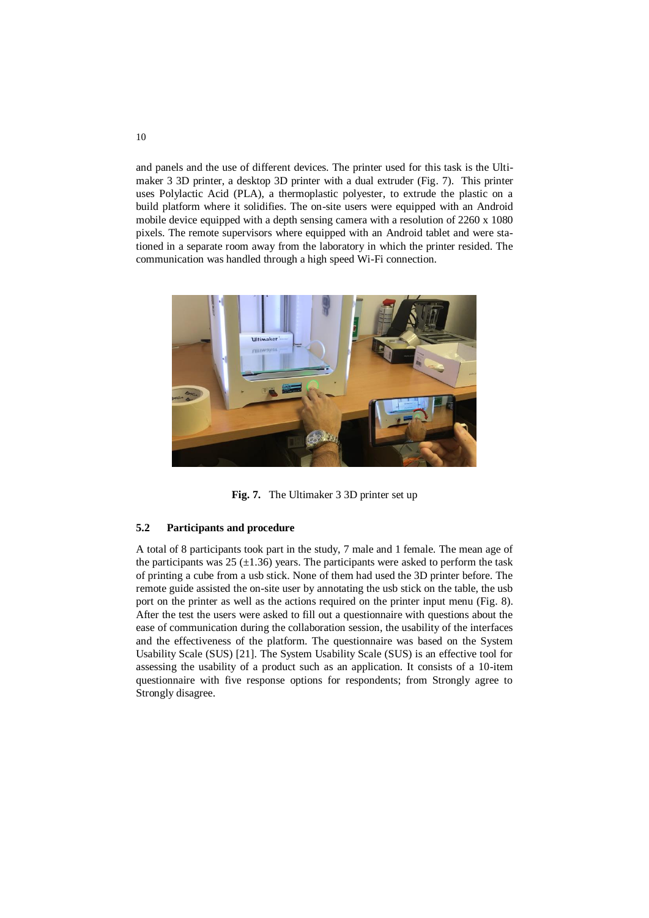and panels and the use of different devices. The printer used for this task is the Ultimaker 3 3D printer, a desktop 3D printer with a dual extruder (Fig. 7). This printer uses Polylactic Acid (PLA), a thermoplastic polyester, to extrude the plastic on a build platform where it solidifies. The on-site users were equipped with an Android mobile device equipped with a depth sensing camera with a resolution of 2260 x 1080 pixels. The remote supervisors where equipped with an Android tablet and were stationed in a separate room away from the laboratory in which the printer resided. The communication was handled through a high speed Wi-Fi connection.



**Fig. 7.** The Ultimaker 3 3D printer set up

### **5.2 Participants and procedure**

A total of 8 participants took part in the study, 7 male and 1 female. The mean age of the participants was 25  $(\pm 1.36)$  years. The participants were asked to perform the task of printing a cube from a usb stick. None of them had used the 3D printer before. The remote guide assisted the on-site user by annotating the usb stick on the table, the usb port on the printer as well as the actions required on the printer input menu (Fig. 8). After the test the users were asked to fill out a questionnaire with questions about the ease of communication during the collaboration session, the usability of the interfaces and the effectiveness of the platform. The questionnaire was based on the System Usability Scale (SUS) [21]. The System Usability Scale (SUS) is an effective tool for assessing the usability of a product such as an application. It consists of a 10-item questionnaire with five response options for respondents; from Strongly agree to Strongly disagree.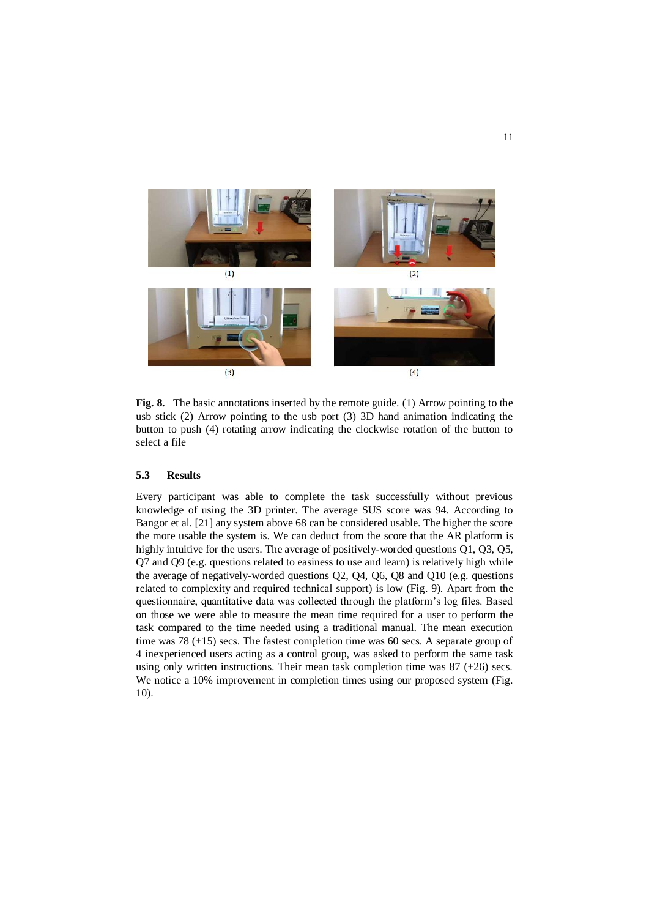

**Fig. 8.** The basic annotations inserted by the remote guide. (1) Arrow pointing to the usb stick (2) Arrow pointing to the usb port (3) 3D hand animation indicating the button to push (4) rotating arrow indicating the clockwise rotation of the button to select a file

## **5.3 Results**

Every participant was able to complete the task successfully without previous knowledge of using the 3D printer. The average SUS score was 94. According to Bangor et al. [21] any system above 68 can be considered usable. The higher the score the more usable the system is. We can deduct from the score that the AR platform is highly intuitive for the users. The average of positively-worded questions Q1, Q3, Q5, Q7 and Q9 (e.g. questions related to easiness to use and learn) is relatively high while the average of negatively-worded questions Q2, Q4, Q6, Q8 and Q10 (e.g. questions related to complexity and required technical support) is low (Fig. 9). Apart from the questionnaire, quantitative data was collected through the platform's log files. Based on those we were able to measure the mean time required for a user to perform the task compared to the time needed using a traditional manual. The mean execution time was 78  $(\pm 15)$  secs. The fastest completion time was 60 secs. A separate group of 4 inexperienced users acting as a control group, was asked to perform the same task using only written instructions. Their mean task completion time was  $87 (\pm 26)$  secs. We notice a 10% improvement in completion times using our proposed system (Fig. 10).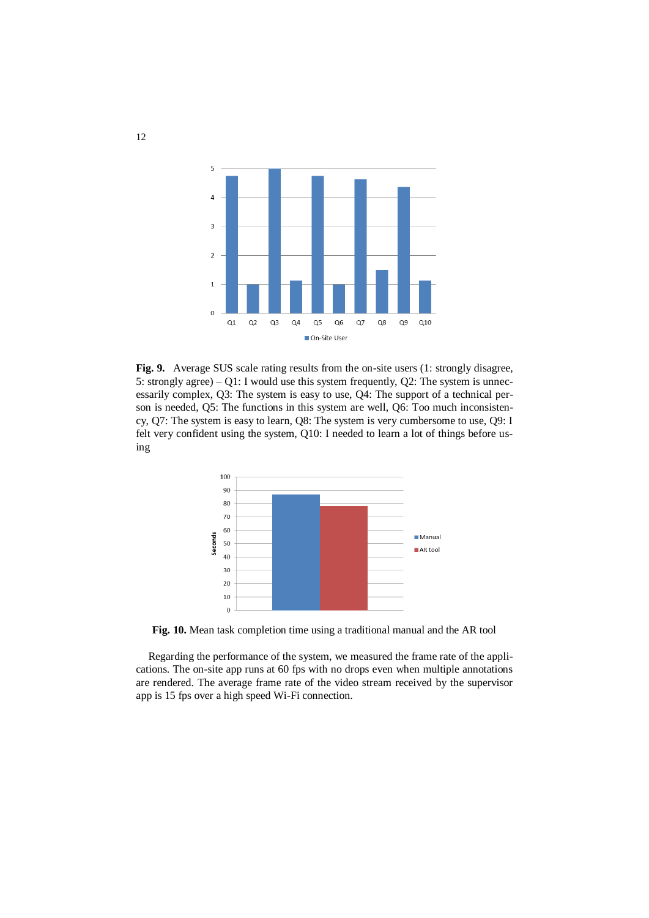

Fig. 9. Average SUS scale rating results from the on-site users (1: strongly disagree, 5: strongly agree) – Q1: I would use this system frequently, Q2: The system is unnecessarily complex, Q3: The system is easy to use, Q4: The support of a technical person is needed, Q5: The functions in this system are well, Q6: Too much inconsistency, Q7: The system is easy to learn, Q8: The system is very cumbersome to use, Q9: I felt very confident using the system, Q10: I needed to learn a lot of things before using



**Fig. 10.** Mean task completion time using a traditional manual and the AR tool

Regarding the performance of the system, we measured the frame rate of the applications. The on-site app runs at 60 fps with no drops even when multiple annotations are rendered. The average frame rate of the video stream received by the supervisor app is 15 fps over a high speed Wi-Fi connection.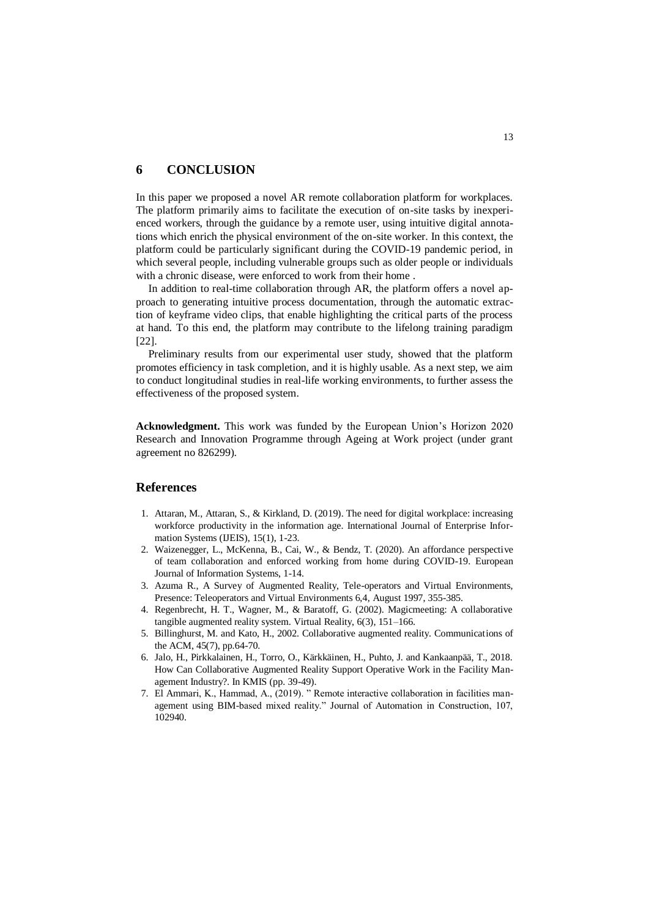# **6 CONCLUSION**

In this paper we proposed a novel AR remote collaboration platform for workplaces. The platform primarily aims to facilitate the execution of on-site tasks by inexperienced workers, through the guidance by a remote user, using intuitive digital annotations which enrich the physical environment of the on-site worker. In this context, the platform could be particularly significant during the COVID-19 pandemic period, in which several people, including vulnerable groups such as older people or individuals with a chronic disease, were enforced to work from their home .

In addition to real-time collaboration through AR, the platform offers a novel approach to generating intuitive process documentation, through the automatic extraction of keyframe video clips, that enable highlighting the critical parts of the process at hand. To this end, the platform may contribute to the lifelong training paradigm [22].

Preliminary results from our experimental user study, showed that the platform promotes efficiency in task completion, and it is highly usable. As a next step, we aim to conduct longitudinal studies in real-life working environments, to further assess the effectiveness of the proposed system.

**Acknowledgment.** This work was funded by the European Union's Horizon 2020 Research and Innovation Programme through Ageing at Work project (under grant agreement no 826299).

### **References**

- 1. Attaran, M., Attaran, S., & Kirkland, D. (2019). The need for digital workplace: increasing workforce productivity in the information age. International Journal of Enterprise Information Systems (IJEIS), 15(1), 1-23.
- 2. Waizenegger, L., McKenna, B., Cai, W., & Bendz, T. (2020). An affordance perspective of team collaboration and enforced working from home during COVID-19. European Journal of Information Systems, 1-14.
- 3. Azuma R., A Survey of Augmented Reality, Tele-operators and Virtual Environments, Presence: Teleoperators and Virtual Environments 6,4, August 1997, 355-385.
- 4. Regenbrecht, H. T., Wagner, M., & Baratoff, G. (2002). Magicmeeting: A collaborative tangible augmented reality system. Virtual Reality, 6(3), 151–166.
- 5. Billinghurst, M. and Kato, H., 2002. Collaborative augmented reality. Communications of the ACM, 45(7), pp.64-70.
- 6. Jalo, H., Pirkkalainen, H., Torro, O., Kärkkäinen, H., Puhto, J. and Kankaanpää, T., 2018. How Can Collaborative Augmented Reality Support Operative Work in the Facility Management Industry?. In KMIS (pp. 39-49).
- 7. El Ammari, K., Hammad, A., (2019). " Remote interactive collaboration in facilities management using BIM-based mixed reality." Journal of Automation in Construction, 107, 102940.